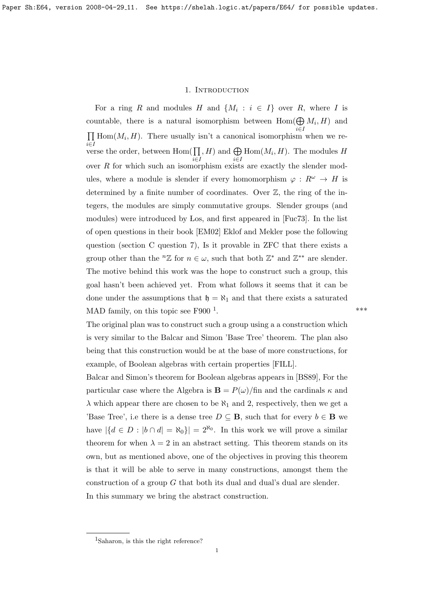## 1. Introduction

<span id="page-0-1"></span>For a ring R and modules H and  $\{M_i : i \in I\}$  over R, where I is countable, there is a natural isomorphism between  $Hom(\bigoplus M_i, H)$  and i∈I  $\prod$  Hom $(M_i, H)$ . There usually isn't a canonical isomorphism when we rei∈I verse the order, between  $\text{Hom}(\prod$ i∈I  $, H)$  and  $\bigoplus$ i∈I  $Hom(M_i, H)$ . The modules H over  $R$  for which such an isomorphism exists are exactly the slender modules, where a module is slender if every homomorphism  $\varphi : R^{\omega} \to H$  is determined by a finite number of coordinates. Over  $\mathbb{Z}$ , the ring of the integers, the modules are simply commutative groups. Slender groups (and modules) were introduced by Los, and first appeared in [\[Fuc73\]](#page-11-0). In the list of open questions in their book [\[EM02\]](#page-11-1) Eklof and Mekler pose the following question (section C question 7), Is it provable in ZFC that there exists a group other than the <sup>n</sup>Z for  $n \in \omega$ , such that both  $\mathbb{Z}^*$  and  $\mathbb{Z}^{**}$  are slender. The motive behind this work was the hope to construct such a group, this goal hasn't been achieved yet. From what follows it seems that it can be done under the assumptions that  $\mathfrak{h} = \aleph_1$  and that there exists a saturated MAD family, on this topic see F900 $<sup>1</sup>$  $<sup>1</sup>$  $<sup>1</sup>$ .</sup> . The contract of the contract of the contract of the contract of the contract of the contract of the contract of the contract of the contract of the contract of the contract of the contract of the contract of the contrac

The original plan was to construct such a group using a a construction which is very similar to the Balcar and Simon 'Base Tree' theorem. The plan also being that this construction would be at the base of more constructions, for example, of Boolean algebras with certain properties [FILL].

Balcar and Simon's theorem for Boolean algebras appears in [\[BS89\]](#page-11-2), For the particular case where the Algebra is  $\mathbf{B} = P(\omega)/\text{fin}$  and the cardinals  $\kappa$  and  $\lambda$  which appear there are chosen to be  $\aleph_1$  and 2, respectively, then we get a 'Base Tree', i.e there is a dense tree  $D \subseteq \mathbf{B}$ , such that for every  $b \in \mathbf{B}$  we have  $|\{d \in D : |b \cap d| = \aleph_0\}| = 2^{\aleph_0}$ . In this work we will prove a similar theorem for when  $\lambda = 2$  in an abstract setting. This theorem stands on its own, but as mentioned above, one of the objectives in proving this theorem is that it will be able to serve in many constructions, amongst them the construction of a group  $G$  that both its dual and dual's dual are slender. In this summary we bring the abstract construction.

<span id="page-0-0"></span><sup>&</sup>lt;sup>1</sup>Saharon, is this the right reference?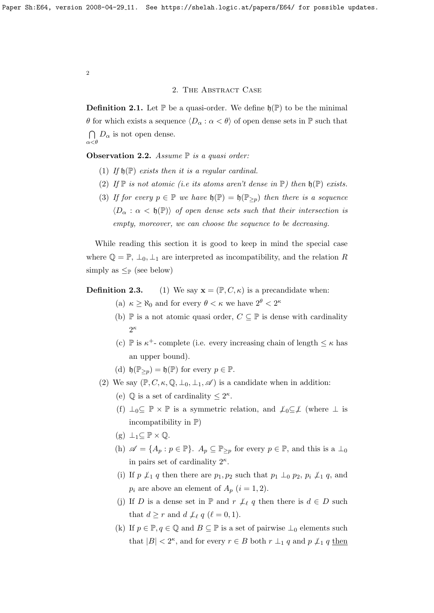## 2. THE ABSTRACT CASE

**Definition 2.1.** Let  $\mathbb{P}$  be a quasi-order. We define  $\mathfrak{h}(\mathbb{P})$  to be the minimal θ for which exists a sequence  $\langle D_\alpha : \alpha < \theta \rangle$  of open dense sets in P such that  $\bigcap D_{\alpha}$  is not open dense.  $\alpha<\theta$ 

<span id="page-1-0"></span>Observation 2.2. Assume  $\mathbb P$  is a quasi order:

- (1) If  $\mathfrak{h}(\mathbb{P})$  exists then it is a regular cardinal.
- (2) If  $\mathbb P$  is not atomic (i.e its atoms aren't dense in  $\mathbb P$ ) then  $\mathfrak{h}(\mathbb P)$  exists.
- (3) If for every  $p \in \mathbb{P}$  we have  $\mathfrak{h}(\mathbb{P}) = \mathfrak{h}(\mathbb{P}_{>p})$  then there is a sequence  $\langle D_{\alpha} : \alpha < \mathfrak{h}(\mathbb{P}) \rangle$  of open dense sets such that their intersection is empty, moreover, we can choose the sequence to be decreasing.

While reading this section it is good to keep in mind the special case where  $\mathbb{Q} = \mathbb{P}, \perp_0, \perp_1$  are interpreted as incompatibility, and the relation R simply as  $\leq_{\mathbb{P}}$  (see below)

**Definition 2.3.** (1) We say  $\mathbf{x} = (\mathbb{P}, C, \kappa)$  is a precandidate when:

- (a)  $\kappa \ge \aleph_0$  and for every  $\theta < \kappa$  we have  $2^{\theta} < 2^{\kappa}$
- (b) P is a not atomic quasi order,  $C \subseteq P$  is dense with cardinality  $2^{\kappa}$
- (c)  $\mathbb P$  is  $\kappa^+$  complete (i.e. every increasing chain of length  $\leq \kappa$  has an upper bound).
- (d)  $\mathfrak{h}(\mathbb{P}_{>p}) = \mathfrak{h}(\mathbb{P})$  for every  $p \in \mathbb{P}$ .
- (2) We say  $(\mathbb{P}, C, \kappa, \mathbb{Q}, \perp_0, \perp_1, \mathscr{A})$  is a candidate when in addition:
	- (e)  $\mathbb Q$  is a set of cardinality  $\leq 2^{\kappa}$ .
	- (f)  $\perp_0\subseteq \mathbb{P} \times \mathbb{P}$  is a symmetric relation, and  $\perp_0\subseteq \perp$  (where  $\perp$  is incompatibility in  $\mathbb{P}$ )
	- $(g) \perp_1 \subseteq \mathbb{P} \times \mathbb{Q}.$
	- (h)  $\mathscr{A} = \{A_p : p \in \mathbb{P}\}\.$   $A_p \subseteq \mathbb{P}_{\geq p}$  for every  $p \in \mathbb{P}$ , and this is a  $\perp_0$ in pairs set of cardinality  $2^{\kappa}$ .
	- (i) If  $p \nleq_1 q$  then there are  $p_1, p_2$  such that  $p_1 \nleq_0 p_2, p_i \nleq_1 q$ , and  $p_i$  are above an element of  $A_p$   $(i = 1, 2)$ .
	- (j) If D is a dense set in  $\mathbb P$  and  $r \not\perp_{\ell} q$  then there is  $d \in D$  such that  $d \geq r$  and  $d \nleq_{\ell} q$  ( $\ell = 0, 1$ ).
	- (k) If  $p \in \mathbb{P}, q \in \mathbb{Q}$  and  $B \subseteq \mathbb{P}$  is a set of pairwise  $\perp_0$  elements such that  $|B| < 2^{\kappa}$ , and for every  $r \in B$  both  $r \perp_1 q$  and  $p \nperp_1 q$  then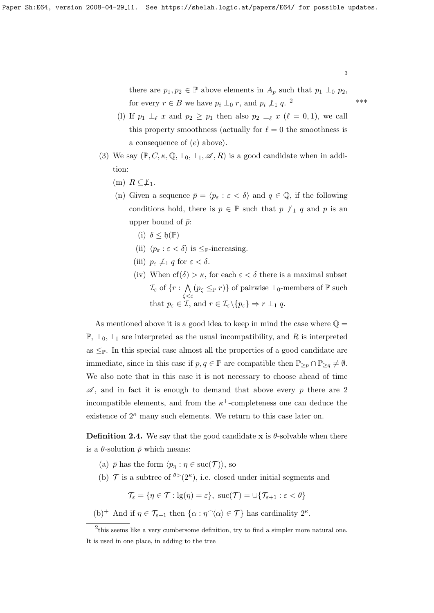there are  $p_1, p_2 \in \mathbb{P}$  above elements in  $A_p$  such that  $p_1 \perp_0 p_2$ , for every  $r \in B$  we have  $p_i \perp_0 r$ , and  $p_i \nperp_1 q$ . <sup>[2](#page-2-0)</sup>

- (l) If  $p_1 \perp_{\ell} x$  and  $p_2 \geq p_1$  then also  $p_2 \perp_{\ell} x$  ( $\ell = 0, 1$ ), we call this property smoothness (actually for  $\ell = 0$  the smoothness is a consequence of (e) above).
- <span id="page-2-1"></span>(3) We say  $(\mathbb{P}, C, \kappa, \mathbb{Q}, \perp_0, \perp_1, \mathscr{A}, R)$  is a good candidate when in addition:
	- (m)  $R \subseteq \perp_1$ .
	- (n) Given a sequence  $\bar{p} = \langle p_{\varepsilon} : \varepsilon < \delta \rangle$  and  $q \in \mathbb{Q}$ , if the following conditions hold, there is  $p \in \mathbb{P}$  such that  $p \not\perp_1 q$  and p is an upper bound of  $\bar{p}$ :
		- (i)  $\delta$  < h(P)
		- (ii)  $\langle p_{\varepsilon} : \varepsilon < \delta \rangle$  is  $\leq_{\mathbb{P}}$ -increasing.
		- (iii)  $p_{\varepsilon} \not\perp_1 q$  for  $\varepsilon < \delta$ .
		- (iv) When  $cf(\delta) > \kappa$ , for each  $\varepsilon < \delta$  there is a maximal subset  $\mathcal{I}_\varepsilon$  of  $\{r:\ \bigwedge$ ζ<ε  $(p_{\zeta} \leq_{\mathbb{P}} r)$  of pairwise  $\bot_0$ -members of  $\mathbb{P}$  such that  $p_{\varepsilon} \in \mathcal{I}$ , and  $r \in \mathcal{I}_{\varepsilon} \backslash \{p_{\varepsilon}\} \Rightarrow r \perp_1 q$ .

As mentioned above it is a good idea to keep in mind the case where  $\mathbb{Q} =$  $\mathbb{P}, \perp_0, \perp_1$  are interpreted as the usual incompatibility, and R is interpreted as  $\leq_{\mathbb{P}}$ . In this special case almost all the properties of a good candidate are immediate, since in this case if  $p, q \in \mathbb{P}$  are compatible then  $\mathbb{P}_{\geq p} \cap \mathbb{P}_{\geq q} \neq \emptyset$ . We also note that in this case it is not necessary to choose ahead of time  $\mathscr A$ , and in fact it is enough to demand that above every p there are 2 incompatible elements, and from the  $\kappa^+$ -completeness one can deduce the existence of  $2^{\kappa}$  many such elements. We return to this case later on.

<span id="page-2-2"></span>**Definition 2.4.** We say that the good candidate  $x$  is  $\theta$ -solvable when there is a  $\theta$ -solution  $\bar{p}$  which means:

- (a)  $\bar{p}$  has the form  $\langle p_n : \eta \in \text{succ}(\mathcal{T}) \rangle$ , so
- (b)  $\mathcal T$  is a subtree of  $\mathcal P(2^k)$ , i.e. closed under initial segments and

$$
\mathcal{T}_{\varepsilon} = \{ \eta \in \mathcal{T} : \mathrm{lg}(\eta) = \varepsilon \}, \ \mathrm{suc}(\mathcal{T}) = \cup \{ \mathcal{T}_{\varepsilon+1} : \varepsilon < \theta \}
$$

(b)<sup>+</sup> And if  $\eta \in \mathcal{T}_{\varepsilon+1}$  then  $\{\alpha : \eta^\frown \langle \alpha \rangle \in \mathcal{T} \}$  has cardinality  $2^{\kappa}$ .

\*\*\*

<span id="page-2-0"></span><sup>&</sup>lt;sup>2</sup>this seems like a very cumbersome definition, try to find a simpler more natural one. It is used in one place, in adding to the tree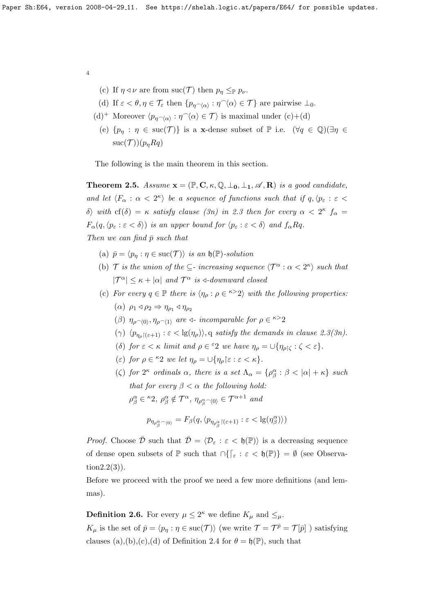- (c) If  $\eta \triangleleft \nu$  are from suc(T) then  $p_{\eta} \leq_{\mathbb{P}} p_{\nu}$ .
- (d) If  $\varepsilon < \theta, \eta \in \mathcal{T}_{\varepsilon}$  then  $\{p_{\eta \cap \langle \alpha \rangle} : \eta \cap \langle \alpha \rangle \in \mathcal{T}\}\)$  are pairwise  $\bot_0$ .
- (d)<sup>+</sup> Moreover  $\langle p_{\eta \sim \langle \alpha \rangle} : \eta \hat{\ } \langle \alpha \rangle \in \mathcal{T} \rangle$  is maximal under (c)+(d)
	- (e)  $\{p_\eta : \eta \in \text{succ}(\mathcal{T})\}$  is a **x**-dense subset of  $\mathbb{P}$  i.e.  $(\forall q \in \mathbb{Q})(\exists \eta \in \mathbb{Q})$  $suc(\mathcal{T})|(p_nRq)$

The following is the main theorem in this section.

<span id="page-3-1"></span>**Theorem 2.5.** Assume  $\mathbf{x} = (\mathbb{P}, \mathbb{C}, \kappa, \mathbb{Q}, \perp_0, \perp_1, \mathcal{A}, \mathbb{R})$  is a good candidate, and let  $\langle F_\alpha : \alpha < 2^{\kappa} \rangle$  be a sequence of functions such that if  $q, \langle p_\varepsilon : \varepsilon <$ δ) with cf(δ) = κ satisfy clause [\(3n\)](#page-2-1) in [2.3](#page-0-1) then for every  $\alpha < 2^{\kappa}$  f<sub>α</sub> =  $F_{\alpha}(q,\langle p_{\varepsilon} : \varepsilon < \delta \rangle)$  is an upper bound for  $\langle p_{\varepsilon} : \varepsilon < \delta \rangle$  and  $f_{\alpha}Rq$ . Then we can find  $\bar{p}$  such that

- (a)  $\bar{p} = \langle p_n : \eta \in \text{succ}(\mathcal{T}) \rangle$  is an  $\mathfrak{h}(\mathbb{P})$ -solution
- (b) T is the union of the  $\subseteq$  increasing sequence  $\langle \mathcal{T}^{\alpha} : \alpha < 2^{\kappa} \rangle$  such that  $|{\cal T}^{\alpha}| \leq \kappa + |\alpha|$  and  ${\cal T}^{\alpha}$  is  $\triangleleft$ -downward closed
- (c) For every  $q \in \mathbb{P}$  there is  $\langle \eta_{\rho} : \rho \in \infty \rangle$  with the following properties:
	- $(\alpha)$   $\rho_1 \triangleleft \rho_2 \Rightarrow \eta_{\rho_1} \triangleleft \eta_{\rho_2}$
	- (β)  $\eta_{\rho \sim (0)}, \eta_{\rho \sim (1)}$  are  $\triangleleft$  incomparable for  $\rho \in \infty$ <sup>2</sup>
	- (γ)  $\langle p_{\eta_{\rho}(\varepsilon+1)} : \varepsilon < \lg(\eta_{\rho}) \rangle$ , q satisfy the demands in clause [2.3](#page-0-1)[\(3n\)](#page-2-1).
	- (δ) for  $\varepsilon < \kappa$  limit and  $\rho \in {}^{\varepsilon}2$  we have  $\eta_{\rho} = \bigcup {\eta_{\rho|\zeta}} : \zeta < \varepsilon$ .
	- (ε) for  $\rho \in {}^{\kappa}2$  we let  $\eta_{\rho} = \bigcup {\eta_{\rho} \mid \varepsilon : \varepsilon < \kappa}.$
	- ( $\zeta$ ) for  $2^{\kappa}$  ordinals  $\alpha$ , there is a set  $\Lambda_{\alpha} = {\rho_{\beta}^{\alpha} : \beta < |\alpha| + \kappa}$  such that for every  $\beta < \alpha$  the following hold:  $\rho^\alpha_\beta \in {}^\kappa 2, \ \rho^\alpha_\beta \notin \mathcal{T}^\alpha, \ \eta_{\rho^\alpha_\beta \sim \langle 0 \rangle} \in \mathcal{T}^{\alpha+1}$  and

$$
p_{\eta_{\rho_{\beta}^{\alpha}} \neg \langle 0 \rangle} = F_{\beta}(q, \langle p_{\eta_{\rho_{\beta}^{\alpha}} \restriction (\varepsilon+1)} : \varepsilon < \lg(\eta_{\beta}^{\alpha}) \rangle)
$$

*Proof.* Choose  $\overline{\mathcal{D}}$  such that  $\overline{\mathcal{D}} = \langle \mathcal{D}_{\varepsilon} : \varepsilon < \mathfrak{h}(\mathbb{P}) \rangle$  is a decreasing sequence of dense open subsets of  $\mathbb P$  such that  $\bigcap_{\mathbb Z} {\epsilon < \mathfrak{h}(\mathbb P)} = \emptyset$  (see Observatio[n2.2\(](#page-1-0)3)).

Before we proceed with the proof we need a few more definitions (and lemmas).

<span id="page-3-0"></span>**Definition 2.6.** For every  $\mu \leq 2^{\kappa}$  we define  $K_{\mu}$  and  $\leq_{\mu}$ .  $K_{\mu}$  is the set of  $\bar{p} = \langle p_{\eta} : \eta \in \text{succ}(\mathcal{T}) \rangle$  (we write  $\mathcal{T} = \mathcal{T}^{\bar{p}} = \mathcal{T}[\bar{p}]$ ) satisfying clauses (a),(b),(c),(d) of Definition [2](#page-2-2).4 for  $\theta = \mathfrak{h}(\mathbb{P})$ , such that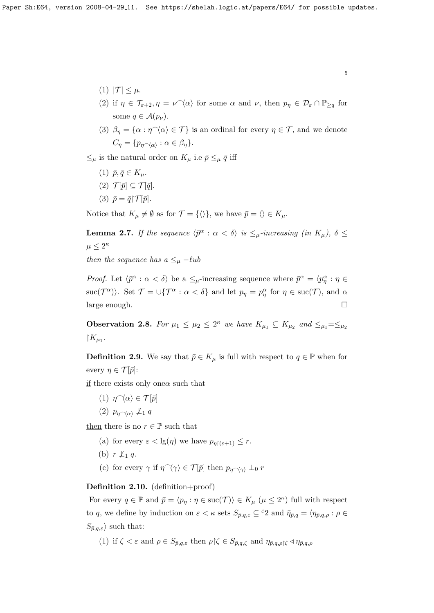- (1)  $|\mathcal{T}| \leq \mu$ .
- (2) if  $\eta \in \mathcal{T}_{\varepsilon+2}, \eta = \nu \hat{\langle} \alpha \rangle$  for some  $\alpha$  and  $\nu$ , then  $p_{\eta} \in \mathcal{D}_{\varepsilon} \cap \mathbb{P}_{\geq q}$  for some  $q \in \mathcal{A}(p_{\nu}).$
- (3)  $\beta_{\eta} = {\alpha : \eta \(\alpha) \in \mathcal{T}}$  is an ordinal for every  $\eta \in \mathcal{T}$ , and we denote  $C_{\eta} = \{p_{\eta \smallfrown \langle \alpha \rangle} : \alpha \in \beta_{\eta}\}.$

 $\leq_\mu$  is the natural order on  $K_\mu$  i.e  $\bar{p} \leq_\mu \bar{q}$  iff

- (1)  $\bar{p}, \bar{q} \in K_\mu$ .
- (2)  $\mathcal{T}[\bar{p}] \subseteq \mathcal{T}[\bar{q}].$
- (3)  $\bar{p} = \bar{q} \upharpoonright \mathcal{T}[\bar{p}].$

Notice that  $K_u \neq \emptyset$  as for  $\mathcal{T} = {\langle} \langle \rangle$ , we have  $\bar{p} = \langle \rangle \in K_u$ .

**Lemma 2.7.** If the sequence  $\langle \bar{p}^{\alpha} : \alpha < \delta \rangle$  is  $\leq_{\mu}$ -increasing (in  $K_{\mu}$ ),  $\delta \leq$  $\mu \leq 2^{\kappa}$ 

then the sequence has a  $\leq_{\mu}$  - $\ell$ ub

*Proof.* Let  $\langle \bar{p}^{\alpha} : \alpha < \delta \rangle$  be a  $\leq_{\mu}$ -increasing sequence where  $\bar{p}^{\alpha} = \langle p_{\eta}^{\alpha} : \eta \in$  $\text{succ}(\mathcal{T}^{\alpha})$ . Set  $\mathcal{T} = \cup \{ \mathcal{T}^{\alpha} : \alpha < \delta \}$  and let  $p_{\eta} = p_{\eta}^{\alpha}$  for  $\eta \in \text{succ}(\mathcal{T})$ , and  $\alpha$ large enough.

**Observation 2.8.** For  $\mu_1 \leq \mu_2 \leq 2^{\kappa}$  we have  $K_{\mu_1} \subseteq K_{\mu_2}$  and  $\leq_{\mu_1} = \leq_{\mu_2}$  $\restriction K_{\mu_1}$ .

<span id="page-4-0"></span>**Definition 2.9.** We say that  $\bar{p} \in K_{\mu}$  is full with respect to  $q \in \mathbb{P}$  when for every  $\eta \in \mathcal{T}[\bar{p}]$ :

if there exists only one  $\alpha$  such that

- (1)  $\eta^\frown\langle\alpha\rangle \in \mathcal{T}[\bar{p}]$
- (2)  $p_{n\sim\langle\alpha\rangle} \not\perp_1 q$

then there is no  $r \in \mathbb{P}$  such that

- (a) for every  $\varepsilon < \lg(\eta)$  we have  $p_{n^{\uparrow}(\varepsilon+1)} \leq r$ .
- (b)  $r \not\perp_1 q$ .
- (c) for every  $\gamma$  if  $\eta \hat{ } (\gamma) \in \mathcal{T}[\bar{p}]$  then  $p_{n\hat{ }(\gamma)} \perp_0 r$

Definition 2.10. (definition+proof)

For every  $q \in \mathbb{P}$  and  $\bar{p} = \langle p_{\eta} : \eta \in \text{succ}(\mathcal{T}) \rangle \in K_{\mu}$   $(\mu \leq 2^{\kappa})$  full with respect to q, we define by induction on  $\varepsilon < \kappa$  sets  $S_{\bar{p},q,\varepsilon} \subseteq {}^{\varepsilon}2$  and  $\bar{\eta}_{\bar{p},q} = \langle \eta_{\bar{p},q,\rho} : \rho \in$  $S_{\bar{p},q,\varepsilon}$  such that:

(1) if  $\zeta < \varepsilon$  and  $\rho \in S_{\bar{p},q,\varepsilon}$  then  $\rho \upharpoonright \zeta \in S_{\bar{p},q,\zeta}$  and  $\eta_{\bar{p},q,\rho} \upharpoonright \zeta \vartriangleleft \eta_{\bar{p},q,\rho}$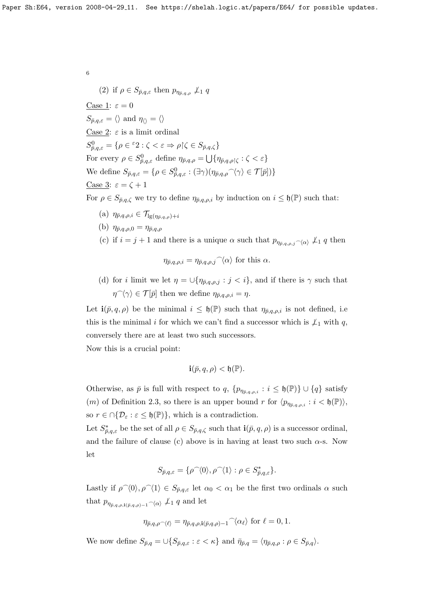(2) if  $\rho \in S_{\bar{p},q,\varepsilon}$  then  $p_{\eta_{\bar{p},q,\rho}} \nleq_1 q$ Case 1:  $\varepsilon = 0$  $S_{\bar{p},q,\varepsilon} = \langle \rangle$  and  $\eta_{\langle \rangle} = \langle \rangle$ Case 2:  $\varepsilon$  is a limit ordinal  $S_{\bar{p},q,\varepsilon}^0 = \{ \rho \in {}^{\varepsilon}2 : \zeta < \varepsilon \Rightarrow \rho \, | \, \zeta \in S_{\bar{p},q,\zeta} \}$ For every  $\rho \in S^0_{\bar{p},q,\varepsilon}$  define  $\eta_{\bar{p},q,\rho} = \bigcup \{ \eta_{\bar{p},q,\rho} | \zeta : \zeta < \varepsilon \}$ We define  $S_{\bar{p},q,\varepsilon} = \{ \rho \in S^0_{\bar{p},q,\varepsilon} : (\exists \gamma)(\eta_{\bar{p},q,\rho} \gamma \langle \gamma \rangle \in \mathcal{T}[\bar{p}]) \}$ Case 3:  $\varepsilon = \zeta + 1$ 

For  $\rho \in S_{\bar{p},q,\zeta}$  we try to define  $\eta_{\bar{p},q,\rho,i}$  by induction on  $i \leq \mathfrak{h}(\mathbb{P})$  such that:

- (a)  $\eta_{\bar{p},q,\rho,i} \in \mathcal{T}_{\lg(\eta_{\bar{p},q,\rho})+i}$
- (b)  $\eta_{\bar{p},q,\rho,0} = \eta_{\bar{p},q,\rho}$
- (c) if  $i = j + 1$  and there is a unique  $\alpha$  such that  $p_{\eta_{\bar{p},q,p,j}} \sim_{\alpha} \chi_1 q$  then

$$
\eta_{\bar{p},q,\rho,i} = \eta_{\bar{p},q,\rho,j} \hat{\phantom{\alpha}} \langle \alpha \rangle
$$
 for this  $\alpha$ .

(d) for *i* limit we let  $\eta = \bigcup \{ \eta_{\bar{p},q,\rho,j} : j < i \},$  and if there is  $\gamma$  such that  $\eta^{\frown}\langle\gamma\rangle \in \mathcal{T}[\bar{p}]$  then we define  $\eta_{\bar{p},q,\rho,i} = \eta$ .

Let  $\mathbf{i}(\bar{p}, q, \rho)$  be the minimal  $i \leq \mathfrak{h}(\mathbb{P})$  such that  $\eta_{\bar{p},q,\rho,i}$  is not defined, i.e this is the minimal i for which we can't find a successor which is  $\n\perp_1$  with q, conversely there are at least two such successors.

Now this is a crucial point:

$$
\mathbf{i}(\bar{p}, q, \rho) < \mathfrak{h}(\mathbb{P}).
$$

Otherwise, as  $\bar{p}$  is full with respect to  $q$ ,  $\{p_{\eta_{\bar{p},q,\rho,i}} : i \leq \mathfrak{h}(\mathbb{P})\} \cup \{q\}$  satisfy (*m*) of Definition [2.3,](#page-0-1) so there is an upper bound r for  $\langle p_{\eta_{\bar{p},q,\rho,i}} : i < \mathfrak{h}(\mathbb{P}) \rangle$ , so  $r \in \bigcap \{ \mathcal{D}_{\varepsilon} : \varepsilon \leq \mathfrak{h}(\mathbb{P}) \}$ , which is a contradiction.

Let  $S_{\bar{p},q,\varepsilon}^*$  be the set of all  $\rho \in S_{\bar{p},q,\zeta}$  such that  $\mathbf{i}(\bar{p},q,\rho)$  is a successor ordinal, and the failure of clause (c) above is in having at least two such  $\alpha$ -s. Now let

$$
S_{\bar{p},q,\varepsilon} = \{ \rho^{\frown}\langle 0 \rangle, \rho^{\frown}\langle 1 \rangle : \rho \in S_{\bar{p},q,\varepsilon}^* \}.
$$

Lastly if  $\rho^{\hat{ }}(0), \rho^{\hat{ }}(1) \in S_{\bar{p},q,\varepsilon}$  let  $\alpha_0 < \alpha_1$  be the first two ordinals  $\alpha$  such that  $p_{\eta_{\bar{p},q,\rho},\mathbf{i}(\bar{p},q,\rho)-1} \sim_{\langle\alpha\rangle} \mu_1 q$  and let

$$
\eta_{\bar{p},q,\rho}(\ell)} = \eta_{\bar{p},q,\rho,\mathbf{i}(\bar{p},q,\rho)-1}(\alpha_{\ell}) \text{ for } \ell = 0,1.
$$

We now define  $S_{\bar{p},q} = \bigcup \{ S_{\bar{p},q,\varepsilon} : \varepsilon < \kappa \}$  and  $\bar{\eta}_{\bar{p},q} = \langle \eta_{\bar{p},q,\rho} : \rho \in S_{\bar{p},q} \rangle$ .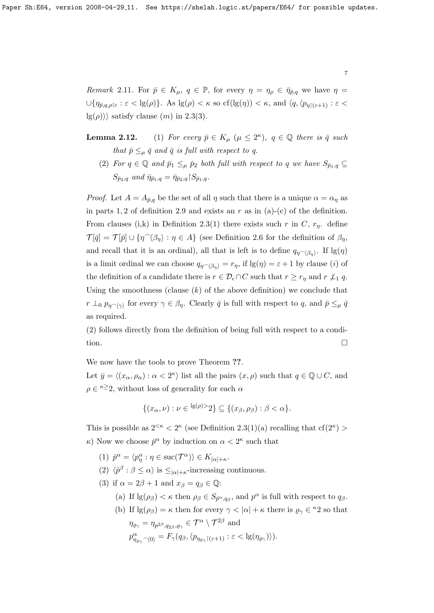<span id="page-6-0"></span>Remark 2.11. For  $\bar{p} \in K_{\mu}$ ,  $q \in \mathbb{P}$ , for every  $\eta = \eta_{\rho} \in \bar{\eta}_{\bar{p},q}$  we have  $\eta =$  $\cup \{\eta_{\bar{p},q,\rho\}\in : \varepsilon < \lg(\rho)\}\$ . As  $\lg(\rho) < \kappa$  so  $cf(\lg(\eta)) < \kappa$ , and  $\langle q, \langle p_{\eta\upharpoonright(\varepsilon+1)} : \varepsilon <$  $\lg(\rho)$ ) satisfy clause  $(m)$  in [2.3\(](#page-0-1)3).

**Lemma 2.12.** (1) For every  $\bar{p} \in K_{\mu}$  ( $\mu \leq 2^{\kappa}$ ),  $q \in \mathbb{Q}$  there is  $\bar{q}$  such that  $\bar{p} \leq_{\mu} \bar{q}$  and  $\bar{q}$  is full with respect to q.

(2) For  $q \in \mathbb{Q}$  and  $\bar{p}_1 \leq_{\mu} \bar{p}_2$  both full with respect to q we have  $S_{\bar{p}_1,q} \subseteq$  $S_{\bar{p}_2,q}$  and  $\bar{\eta}_{\bar{p}_1,q} = \bar{\eta}_{\bar{p}_2,q} S_{\bar{p}_1,q}.$ 

*Proof.* Let  $A = A_{\bar{p},q}$  be the set of all  $\eta$  such that there is a unique  $\alpha = \alpha_{\eta}$  as in parts 1, 2 of definition [2.9](#page-4-0) and exists an r as in  $(a)-(c)$  of the definition. From clauses (i,k) in Definition [2.3\(](#page-0-1)1) there exists such r in C,  $r_n$ . define  $\mathcal{T}[\bar{q}] = \mathcal{T}[\bar{p}] \cup \{\eta^{\frown}\langle\beta_{\eta}\rangle : \eta \in A\}$  (see Definition [2.6](#page-3-0) for the definition of  $\beta_{\eta}$ , and recall that it is an ordinal), all that is left is to define  $q_{\eta \sim \langle \beta_{\eta} \rangle}$ . If  $\lg(\eta)$ is a limit ordinal we can choose  $q_{\eta \sim \langle \beta_n \rangle} = r_{\eta}$ , if  $\lg(\eta) = \varepsilon + 1$  by clause (i) of the definition of a candidate there is  $r \in \mathcal{D}_{\epsilon} \cap C$  such that  $r \geq r_{\eta}$  and  $r \nleq_1 q$ . Using the smoothness (clause  $(k)$  of the above definition) we conclude that  $r \perp_0 p_{\eta \sim \langle \gamma \rangle}$  for every  $\gamma \in \beta_\eta$ . Clearly  $\bar{q}$  is full with respect to q, and  $\bar{p} \leq_\mu \bar{q}$ as required.

(2) follows directly from the definition of being full with respect to a condition.

We now have the tools to prove Theorem ??.

Let  $\bar{y} = \langle (x_{\alpha}, \rho_{\alpha}) : \alpha < 2^{\kappa} \rangle$  list all the pairs  $(x, \rho)$  such that  $q \in \mathbb{Q} \cup C$ , and  $\rho \in \infty$  is 22, without loss of generality for each  $\alpha$ 

$$
\{(x_{\alpha},\nu): \nu \in {}^{\lg(\rho)>}2\} \subseteq \{(x_{\beta},\rho_{\beta}): \beta < \alpha\}.
$$

This is possible as  $2^{< \kappa} < 2^{\kappa}$  (see Definition [2.3\(](#page-0-1)1)(a) recalling that  $cf(2^{\kappa})$  $\kappa$ ) Now we choose  $\bar{p}^{\alpha}$  by induction on  $\alpha < 2^{\kappa}$  such that

- (1)  $\bar{p}^{\alpha} = \langle p^{\alpha}_{\eta} : \eta \in \text{succ}(\mathcal{T}^{\alpha}) \rangle \in K_{|\alpha| + \kappa}.$
- (2)  $\langle \bar{p}^{\beta} : \beta \leq \alpha \rangle$  is  $\leq_{|\alpha|+\kappa}$ -increasing continuous.
- (3) if  $\alpha = 2\beta + 1$  and  $x_{\beta} = q_{\beta} \in \mathbb{Q}$ :
	- (a) If  $\lg(\rho_\beta) < \kappa$  then  $\rho_\beta \in S_{\bar{p}^\alpha,q_\beta}$ , and  $p^\alpha$  is full with respect to  $q_\beta$ .
	- (b) If  $\lg(\rho_\beta) = \kappa$  then for every  $\gamma < |\alpha| + \kappa$  there is  $\varrho_\gamma \in {}^{\kappa}2$  so that  $\eta_{\varrho_{\gamma}} = \eta_{p^{2\beta},q_{2\beta},\varrho_{\gamma}} \in \mathcal{T}^{\alpha} \setminus \mathcal{T}^{2\beta} \text{ and }$  $p^{\alpha}_{\eta_{\varrho_{\gamma}} \gamma(0)} = F_{\gamma}(q_{\beta}, \langle p_{\eta_{\varrho_{\gamma}}}|_{(\varepsilon+1)} : \varepsilon < \lg(\eta_{\varrho_{\gamma}}) \rangle).$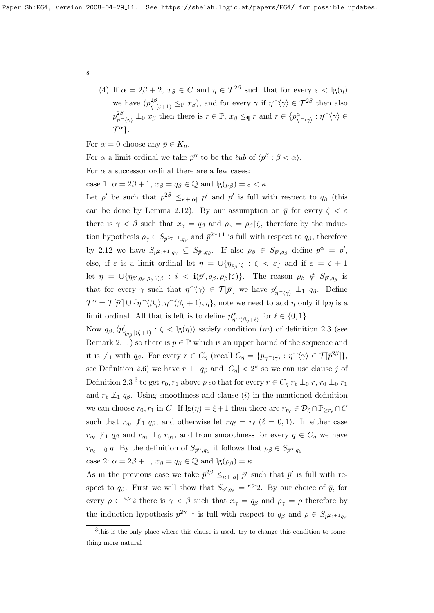(4) If  $\alpha = 2\beta + 2$ ,  $x_{\beta} \in C$  and  $\eta \in \mathcal{T}^{2\beta}$  such that for every  $\varepsilon < \lg(\eta)$ we have  $(p_{\eta|(\varepsilon+1)}^{2\beta} \leq_{\mathbb{P}} x_{\beta})$ , and for every  $\gamma$  if  $\eta \gamma \gamma \in \mathcal{T}^{2\beta}$  then also  $p_{\eta \frown \langle \gamma \rangle}^{2\beta} \perp_0 x_\beta \underline{\text{ then}}$  there is  $r \in \mathbb{P}, x_\beta \leq_\P r \text{ and } r \in \{p_{\eta \frown \langle \gamma \rangle}^\alpha : \eta \frown \langle \gamma \rangle \in \mathbb{P}$  $\mathcal{T}^{\alpha}$ .

For  $\alpha = 0$  choose any  $\bar{p} \in K_{\mu}$ .

For  $\alpha$  a limit ordinal we take  $\bar{p}^{\alpha}$  to be the  $\ell u b$  of  $\langle p^{\beta} : \beta < \alpha \rangle$ .

For  $\alpha$  a successor ordinal there are a few cases:

case 1:  $\alpha = 2\beta + 1$ ,  $x_{\beta} = q_{\beta} \in \mathbb{Q}$  and  $\lg(\rho_{\beta}) = \varepsilon < \kappa$ .

Let  $\bar{p}'$  be such that  $\bar{p}^{2\beta} \leq_{\kappa+|\alpha|} \bar{p}'$  and  $\bar{p}'$  is full with respect to  $q_\beta$  (this can be done by Lemma [2.12\)](#page-0-1). By our assumption on  $\bar{y}$  for every  $\zeta < \varepsilon$ there is  $\gamma < \beta$  such that  $x_{\gamma} = q_{\beta}$  and  $\rho_{\gamma} = \rho_{\beta}$  ( $\zeta$ , therefore by the induction hypothesis  $\rho_{\gamma} \in S_{\bar{p}^2 \gamma + 1, q_\beta}$  and  $\bar{p}^2 \gamma + 1$  is full with respect to  $q_\beta$ , therefore by [2.12](#page-0-1) we have  $S_{\bar{p}^2\gamma+1,q_\beta} \subseteq S_{\bar{p}',q_\beta}$ . If also  $\rho_\beta \in S_{\bar{p}',q_\beta}$  define  $\bar{p}^\alpha = \bar{p}',$ else, if  $\varepsilon$  is a limit ordinal let  $\eta = \bigcup \{ \eta_{\rho_{\beta}|\zeta} : \zeta < \varepsilon \}$  and if  $\varepsilon = \zeta + 1$ let  $\eta = \bigcup \{\eta_{\bar{p}',q_{\beta},\rho_{\beta}|\zeta,i} : i < \mathbf{i}(\bar{p}',q_{\beta},\rho_{\beta}|\zeta)\}\$ . The reason  $\rho_{\beta} \notin S_{\bar{p}',q_{\beta}}$  is that for every  $\gamma$  such that  $\eta \hat{ } (\gamma) \in \mathcal{T}[\bar{p}']$  we have  $p'_{\eta \hat{ } (\gamma)} \perp_{1} q_{\beta}$ . Define  $\mathcal{T}^{\alpha} = \mathcal{T}[\bar{p}'] \cup \{ \eta \hat{\;} \langle \beta_{\eta} \rangle, \eta \hat{\;} \langle \beta_{\eta} + 1 \rangle, \eta \},\$ note we need to add  $\eta$  only if lg $\eta$  is a limit ordinal. All that is left is to define  $p_{\eta \sim \langle \beta_{\eta} + \ell \rangle}^{\alpha}$  for  $\ell \in \{0, 1\}.$ 

Now  $q_\beta, \langle p'_{\eta_{\rho_\beta}|(\zeta+1)}: \zeta < \lg(\eta) \rangle$  satisfy condition  $(m)$  of definition [2.3](#page-0-1) (see Remark [2.11\)](#page-6-0) so there is  $p \in \mathbb{P}$  which is an upper bound of the sequence and it is  $\perp_1$  with  $q_\beta$ . For every  $r \in C_\eta$  (recall  $C_\eta = \{p_{\eta \cap \langle \gamma \rangle} : \eta \cap \langle \gamma \rangle \in \mathcal{T}[\bar{p}^{2\beta}]\},\$ see Definition [2.6\)](#page-3-0) we have  $r \perp_1 q_\beta$  and  $|C_\eta| < 2^{\kappa}$  so we can use clause j of Definition [2.3](#page-0-1)<sup>[3](#page-7-0)</sup> to get  $r_0, r_1$  above p so that for every  $r \in C_\eta r_\ell \perp_0 r$ ,  $r_0 \perp_0 r_1$ and  $r_{\ell} \not\perp_1 q_{\beta}$ . Using smoothness and clause (i) in the mentioned definition we can choose  $r_0, r_1$  in C. If  $\lg(\eta) = \xi + 1$  then there are  $r_{\eta_\ell} \in \mathcal{D}_\xi \cap \mathbb{P}_{\geq r_\ell} \cap C$ such that  $r_{\eta_\ell} \not\perp_1 q_\beta$ , and otherwise let  $r_{\eta_\ell} = r_\ell$  ( $\ell = 0, 1$ ). In either case  $r_{\eta_{\ell}} \not\perp_1 q_{\beta}$  and  $r_{\eta_1} \perp_0 r_{\eta_1}$ , and from smoothness for every  $q \in C_{\eta}$  we have  $r_{\eta_{\ell}} \perp_0 q$ . By the definition of  $S_{\bar{p}^{\alpha},q_{\beta}}$  it follows that  $\rho_{\beta} \in S_{\bar{p}^{\alpha},q_{\beta}}$ .

case 2:  $\alpha = 2\beta + 1$ ,  $x_{\beta} = q_{\beta} \in \mathbb{Q}$  and  $\lg(\rho_{\beta}) = \kappa$ .

As in the previous case we take  $\bar{p}^{2\beta} \leq_{\kappa+|\alpha|} \bar{p}'$  such that  $\bar{p}'$  is full with respect to  $q_{\beta}$ . First we will show that  $S_{\bar{p}',q_{\beta}} = \kappa > 2$ . By our choice of  $\bar{y}$ , for every  $\rho \in \infty$  there is  $\gamma < \beta$  such that  $x_{\gamma} = q_{\beta}$  and  $\rho_{\gamma} = \rho$  therefore by the induction hypothesis  $\bar{p}^{2\gamma+1}$  is full with respect to  $q_{\beta}$  and  $\rho \in S_{\bar{p}^{2\gamma+1}q_{\beta}}$ 

<span id="page-7-0"></span><sup>&</sup>lt;sup>3</sup>this is the only place where this clause is used. try to change this condition to something more natural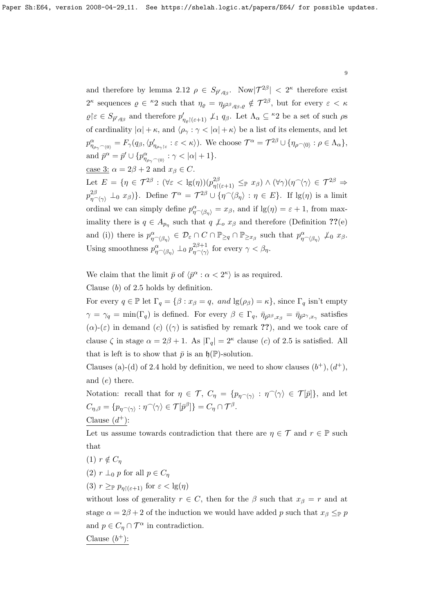and therefore by lemma [2.12](#page-0-1)  $\rho \in S_{\bar{p}',q_\beta}$ . Now $|\mathcal{T}^{2\beta}| < 2^{\kappa}$  therefore exist  $2^{\kappa}$  sequences  $\varrho \in {}^{\kappa}2$  such that  $\eta_{\varrho} = \eta_{\bar{p}^{2\beta},q_{\beta},\varrho} \notin \mathcal{T}^{2\beta}$ , but for every  $\varepsilon < \kappa$  $\varrho \nvert \varepsilon \in S_{\bar{p}',q_{\beta}}$  and therefore  $p'_{\eta_{\varrho} | (\varepsilon + 1)} \nightharpoondown_{1} q_{\beta}$ . Let  $\Lambda_{\alpha} \subseteq {}^{\kappa}2$  be a set of such  $\rho$ s of cardinality  $|\alpha| + \kappa$ , and  $\langle \rho_\gamma : \gamma < |\alpha| + \kappa$  be a list of its elements, and let  $p^{\alpha}_{\eta_{\rho_{\gamma}}\frown\langle 0\rangle}=F_{\gamma}(q_{\beta},\langle p'_{\eta_{\rho_{\gamma}}\upharpoonright\varepsilon}<\kappa\rangle).$  We choose  $\mathcal{T}^{\alpha}=\mathcal{T}^{2\beta}\cup\{\eta_{\rho\frown\langle 0\rangle}:\rho\in\Lambda_{\alpha}\},$ and  $\bar{p}^{\alpha} = \bar{p}' \cup \{p^{\alpha}_{\eta_{\rho_{\gamma}} \cap \langle 0 \rangle} : \gamma < |\alpha| + 1\}.$ 

case 3:  $\alpha = 2\beta + 2$  and  $x_{\beta} \in C$ .

Let  $E = \{ \eta \in \mathcal{T}^{2\beta} : (\forall \varepsilon < \lg(\eta)) (p_{\eta\restriction(\varepsilon+1)}^{2\beta} \leq_{\mathbb{P}} x_{\beta}) \wedge (\forall \gamma) (\eta \hat{\ } \langle \gamma \rangle \in \mathcal{T}^{2\beta} \Rightarrow$  $p_{\eta^\frown\langle\gamma\rangle}^{2\beta} \perp_0 x_\beta$ }. Define  $\mathcal{T}^\alpha = \mathcal{T}^{2\beta} \cup \{\eta^\frown\langle\beta_\eta\rangle : \eta \in E\}$ . If  $\lg(\eta)$  is a limit ordinal we can simply define  $p_{\eta \sim \langle \beta_{\eta} \rangle}^{\alpha} = x_{\beta}$ , and if  $\lg(\eta) = \varepsilon + 1$ , from maximality there is  $q \in A_{p_\eta}$  such that  $q \nperp_o x_\beta$  and therefore (Definition ??(e) and (i)) there is  $p_{\eta \sim \langle \beta_{\eta} \rangle}^{\alpha} \in \mathcal{D}_{\varepsilon} \cap C \cap \mathbb{P}_{\geq q} \cap \mathbb{P}_{\geq x_{\beta}}$  such that  $p_{\eta \sim \langle \beta_{\eta} \rangle}^{\alpha} \not\perp_{0} x_{\beta}$ . Using smoothness  $p_{\eta \sim \langle \beta_{\eta} \rangle}^{\alpha} \perp_0 p_{\eta \sim \langle \gamma \rangle}^{2\beta+1}$  $\eta^{2\rho+1}_{\eta\gamma\gamma}$  for every  $\gamma < \beta_{\eta}$ .

We claim that the limit  $\bar{p}$  of  $\langle \bar{p}^{\alpha} : \alpha < 2^{\kappa} \rangle$  is as required.

Clause (b) of [2.5](#page-3-1) holds by definition.

For every  $q \in \mathbb{P}$  let  $\Gamma_q = \{\beta : x_{\beta} = q, \text{ and } \lg(\rho_{\beta}) = \kappa\},\$  since  $\Gamma_q$  isn't empty  $\gamma = \gamma_q = \min(\Gamma_q)$  is defined. For every  $\beta \in \Gamma_q$ ,  $\bar{\eta}_{\bar{p}^{2\beta},x_\beta} = \bar{\eta}_{\bar{p}^{2\gamma},x_\gamma}$  satisfies  $(\alpha)$ - $(\varepsilon)$  in demand  $(c)$   $((\gamma)$  is satisfied by remark ??), and we took care of clause  $\zeta$  in stage  $\alpha = 2\beta + 1$ . As  $|\Gamma_q| = 2^{\kappa}$  clause (c) of [2.5](#page-3-1) is satisfied. All that is left is to show that  $\bar{p}$  is an  $\mathfrak{h}(\mathbb{P})$ -solution.

Clauses (a)-(d) of [2.4](#page-2-2) hold by definition, we need to show clauses  $(b^+), (d^+),$ and (e) there.

Notation: recall that for  $\eta \in \mathcal{T}, C_{\eta} = \{p_{\eta \sim \langle \gamma \rangle} : \eta \hat{\;} \langle \gamma \rangle \in \mathcal{T}[\bar{p}]\},\$ and let  $C_{\eta,\beta} = \{p_{\eta{}^\frown \langle \gamma \rangle} : \eta {}^\frown \langle \gamma \rangle \in \mathcal{T}[\bar{p}^{\beta}]\} = C_\eta \cap \mathcal{T}^{\beta}.$ Clause  $(d^+)$ :

Let us assume towards contradiction that there are  $\eta \in \mathcal{T}$  and  $r \in \mathbb{P}$  such that

$$
(1) r \notin C_{\eta}
$$

- (2)  $r \perp_0 p$  for all  $p \in C_n$
- (3)  $r \geq_{\mathbb{P}} p_{\eta(\varepsilon+1)}$  for  $\varepsilon < \lg(\eta)$

without loss of generality  $r \in C$ , then for the  $\beta$  such that  $x_{\beta} = r$  and at stage  $\alpha = 2\beta + 2$  of the induction we would have added p such that  $x_{\beta} \leq_{\mathbb{P}} p$ and  $p \in C_n \cap \mathcal{T}^{\alpha}$  in contradiction.

Clause  $(b^+):$ 

9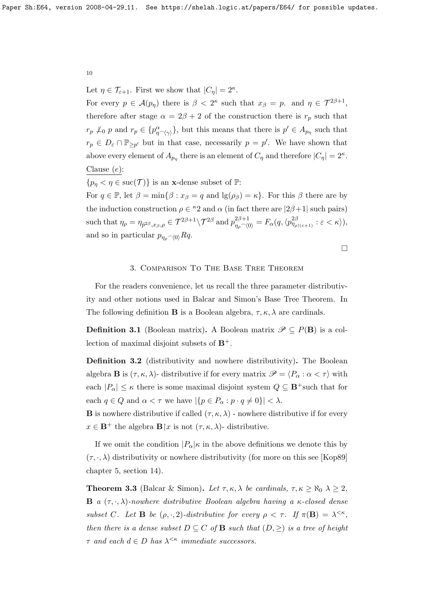Let  $\eta \in \mathcal{T}_{\varepsilon+1}$ . First we show that  $|C_{\eta}| = 2^{\kappa}$ .

For every  $p \in \mathcal{A}(p_\eta)$  there is  $\beta < 2^{\kappa}$  such that  $x_\beta = p$ . and  $\eta \in \mathcal{T}^{2\beta+1}$ , therefore after stage  $\alpha = 2\beta + 2$  of the construction there is  $r_p$  such that  $r_p \nperp_0 p$  and  $r_p \in \{p_{\eta \cap \langle \gamma \rangle}^{\alpha} \}$ , but this means that there is  $p' \in A_{p_\eta}$  such that  $r_p \in D_\varepsilon \cap \mathbb{P}_{\geq p'}$  but in that case, necessarily  $p = p'$ . We have shown that above every element of  $A_{p_\eta}$  there is an element of  $C_\eta$  and therefore  $|C_\eta|=2^\kappa$ . Clause  $(e)$ :

 ${p_n < \eta \in \text{succ}(\mathcal{T})}$  is an **x**-dense subset of  $\mathbb{P}$ :

For  $q \in \mathbb{P}$ , let  $\beta = \min\{\beta : x_{\beta} = q \text{ and } \lg(\rho_{\beta}) = \kappa\}.$  For this  $\beta$  there are by the induction construction  $\rho \in {}^{\kappa}2$  and  $\alpha$  (in fact there are  $|2\beta+1|$  such pairs)  $\text{such that } \eta_\rho=\eta_{\bar{p}^{2\beta},x_\beta,\rho}\in\mathcal{T}^{2\beta+1}\backslash\mathcal{T}^{2\beta} \text{ and } p_{\eta_\rho\smallfrown\langle 0\rangle}^{2\beta+1}=F_\alpha(q,\langle p_{\eta_{\rho\restriction(\varepsilon+1)}}^{2\beta}:\varepsilon<\kappa\rangle),$ and so in particular  $p_{n_0} \sim 0$   $Rq$ .

 $\Box$ 

# 3. Comparison To The Base Tree Theorem

For the readers convenience, let us recall the three parameter distributivity and other notions used in Balcar and Simon's Base Tree Theorem. In The following definition **B** is a Boolean algebra,  $\tau, \kappa, \lambda$  are cardinals.

**Definition 3.1** (Boolean matrix). A Boolean matrix  $\mathscr{P} \subseteq P(\mathbf{B})$  is a collection of maximal disjoint subsets of  $B^+$ .

Definition 3.2 (distributivity and nowhere distributivity). The Boolean algebra **B** is  $(\tau, \kappa, \lambda)$ - distributive if for every matrix  $\mathscr{P} = \langle P_{\alpha} : \alpha < \tau \rangle$  with each  $|P_{\alpha}| \leq \kappa$  there is some maximal disjoint system  $Q \subseteq \mathbf{B}^+$  such that for each  $q \in Q$  and  $\alpha < \tau$  we have  $|\{p \in P_{\alpha} : p \cdot q \neq 0\}| < \lambda$ .

**B** is nowhere distributive if called  $(\tau, \kappa, \lambda)$  - nowhere distributive if for every  $x \in \mathbf{B}^+$  the algebra  $\mathbf{B}[x]$  is not  $(\tau, \kappa, \lambda)$ - distributive.

If we omit the condition  $|P_{\alpha}|\kappa$  in the above definitions we denote this by  $(\tau, \cdot, \lambda)$  distributivity or nowhere distributivity (for more on this see [\[Kop89\]](#page-11-3) chapter 5, section 14).

<span id="page-9-0"></span>**Theorem 3.3** (Balcar & Simon). Let  $\tau, \kappa, \lambda$  be cardinals,  $\tau, \kappa \geq \aleph_0$   $\lambda \geq 2$ , **B** a  $(\tau, \cdot, \lambda)$ -nowhere distributive Boolean algebra having a  $\kappa$ -closed dense subset C. Let **B** be  $(\rho, \cdot, 2)$ -distributive for every  $\rho < \tau$ . If  $\pi(\mathbf{B}) = \lambda^{<\kappa}$ , then there is a dense subset  $D \subseteq C$  of **B** such that  $(D, \geq)$  is a tree of height  $\tau$  and each  $d \in D$  has  $\lambda^{\leq \kappa}$  immediate successors.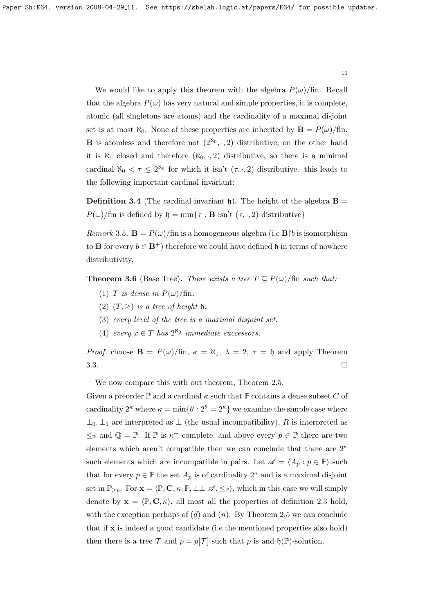We would like to apply this theorem with the algebra  $P(\omega)/\text{fin}$ . Recall that the algebra  $P(\omega)$  has very natural and simple properties, it is complete, atomic (all singletons are atoms) and the cardinality of a maximal disjoint set is at most  $\aleph_0$ . None of these properties are inherited by  $\mathbf{B} = P(\omega)/\text{fin}$ . **B** is atomless and therefore not  $(2^{\aleph_0}, \cdot, 2)$  distributive, on the other hand it is  $\aleph_1$  closed and therefore  $(\aleph_0, \cdot, 2)$  distributive, so there is a minimal cardinal  $\aleph_0 < \tau \leq 2^{\aleph_0}$  for which it isn't  $(\tau, \cdot, 2)$  distributive. this leads to the following important cardinal invariant:

**Definition 3.4** (The cardinal invariant h). The height of the algebra  $\mathbf{B} =$  $P(\omega)/\text{fin}$  is defined by  $\mathfrak{h} = \min\{\tau : \mathbf{B} \text{ isn't } (\tau, \cdot, 2) \text{ distributive}\}\$ 

Remark 3.5.  $\mathbf{B} = P(\omega)/\text{fin}$  is a homogeneous algebra (i.e  $\mathbf{B} | b$  is isomorphism to **B** for every  $b \in \mathbf{B}^+$  therefore we could have defined h in terms of nowhere distributivity,

**Theorem 3.6** (Base Tree). There exists a tree  $T \subseteq P(\omega)/\text{fin}$  such that:

- (1) T is dense in  $P(\omega)/\text{fin}$ .
- (2)  $(T, \geq)$  is a tree of height h.
- (3) every level of the tree is a maximal disjoint set.
- (4) every  $x \in T$  has  $2^{\aleph_0}$  immediate successors.

*Proof.* choose  $\mathbf{B} = P(\omega)/\text{fin}$ ,  $\kappa = \aleph_1$ ,  $\lambda = 2$ ,  $\tau = \mathfrak{h}$  and apply Theorem  $3.3.$ 

We now compare this with out theorem, Theorem [2.5.](#page-3-1)

Given a preorder  $\mathbb P$  and a cardinal  $\kappa$  such that  $\mathbb P$  contains a dense subset C of cardinality  $2^{\kappa}$  where  $\kappa = \min\{\theta : 2^{\theta} = 2^{\kappa}\}\$  we examine the simple case where  $\perp_0$ ,  $\perp_1$  are interpreted as  $\perp$  (the usual incompatibility), R is interpreted as  $\leq_{\mathbb{P}}$  and  $\mathbb{Q} = \mathbb{P}$ . If  $\mathbb{P}$  is  $\kappa^+$  complete, and above every  $p \in \mathbb{P}$  there are two elements which aren't compatible then we can conclude that there are  $2^{\kappa}$ such elements which are incompatible in pairs. Let  $\mathscr{A} = \langle A_p : p \in \mathbb{P} \rangle$  such that for every  $p \in \mathbb{P}$  the set  $A_p$  is of cardinality  $2^{\kappa}$  and is a maximal disjoint set in  $\mathbb{P}_{\geq p}$ . For  $\mathbf{x} = \langle \mathbb{P}, \mathbf{C}, \kappa, \mathbb{P}, \perp \perp \mathscr{A}, \leq_{\mathbb{P}} \rangle$ , which in this case we will simply denote by  $\mathbf{x} = \langle \mathbb{P}, \mathbf{C}, \kappa \rangle$ , all most all the properties of definition [2.3](#page-0-1) hold, with the exception perhaps of  $(d)$  and  $(n)$ . By Theorem [2.5](#page-3-1) we can conclude that if x is indeed a good candidate (i.e the mentioned properties also hold) then there is a tree  $\mathcal T$  and  $\bar p = \bar p[\mathcal T]$  such that  $\bar p$  is and  $\mathfrak{h}(\mathbb{P})$ -solution.

11